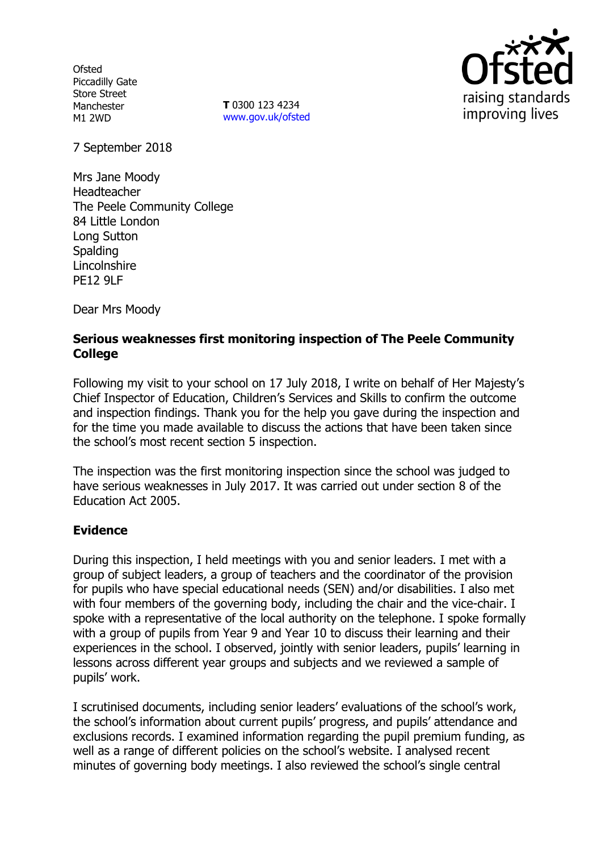**Ofsted** Piccadilly Gate Store Street Manchester M1 2WD

**T** 0300 123 4234 www.gov.uk/ofsted



7 September 2018

Mrs Jane Moody Headteacher The Peele Community College 84 Little London Long Sutton **Spalding Lincolnshire** PE12 9LF

Dear Mrs Moody

### **Serious weaknesses first monitoring inspection of The Peele Community College**

Following my visit to your school on 17 July 2018, I write on behalf of Her Majesty's Chief Inspector of Education, Children's Services and Skills to confirm the outcome and inspection findings. Thank you for the help you gave during the inspection and for the time you made available to discuss the actions that have been taken since the school's most recent section 5 inspection.

The inspection was the first monitoring inspection since the school was judged to have serious weaknesses in July 2017. It was carried out under section 8 of the Education Act 2005.

## **Evidence**

During this inspection, I held meetings with you and senior leaders. I met with a group of subject leaders, a group of teachers and the coordinator of the provision for pupils who have special educational needs (SEN) and/or disabilities. I also met with four members of the governing body, including the chair and the vice-chair. I spoke with a representative of the local authority on the telephone. I spoke formally with a group of pupils from Year 9 and Year 10 to discuss their learning and their experiences in the school. I observed, jointly with senior leaders, pupils' learning in lessons across different year groups and subjects and we reviewed a sample of pupils' work.

I scrutinised documents, including senior leaders' evaluations of the school's work, the school's information about current pupils' progress, and pupils' attendance and exclusions records. I examined information regarding the pupil premium funding, as well as a range of different policies on the school's website. I analysed recent minutes of governing body meetings. I also reviewed the school's single central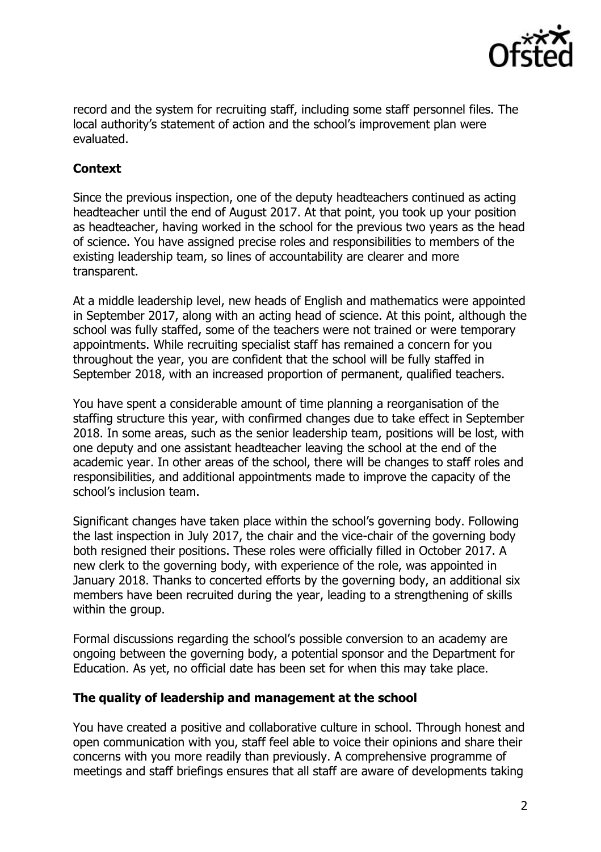

record and the system for recruiting staff, including some staff personnel files. The local authority's statement of action and the school's improvement plan were evaluated.

# **Context**

Since the previous inspection, one of the deputy headteachers continued as acting headteacher until the end of August 2017. At that point, you took up your position as headteacher, having worked in the school for the previous two years as the head of science. You have assigned precise roles and responsibilities to members of the existing leadership team, so lines of accountability are clearer and more transparent.

At a middle leadership level, new heads of English and mathematics were appointed in September 2017, along with an acting head of science. At this point, although the school was fully staffed, some of the teachers were not trained or were temporary appointments. While recruiting specialist staff has remained a concern for you throughout the year, you are confident that the school will be fully staffed in September 2018, with an increased proportion of permanent, qualified teachers.

You have spent a considerable amount of time planning a reorganisation of the staffing structure this year, with confirmed changes due to take effect in September 2018. In some areas, such as the senior leadership team, positions will be lost, with one deputy and one assistant headteacher leaving the school at the end of the academic year. In other areas of the school, there will be changes to staff roles and responsibilities, and additional appointments made to improve the capacity of the school's inclusion team.

Significant changes have taken place within the school's governing body. Following the last inspection in July 2017, the chair and the vice-chair of the governing body both resigned their positions. These roles were officially filled in October 2017. A new clerk to the governing body, with experience of the role, was appointed in January 2018. Thanks to concerted efforts by the governing body, an additional six members have been recruited during the year, leading to a strengthening of skills within the group.

Formal discussions regarding the school's possible conversion to an academy are ongoing between the governing body, a potential sponsor and the Department for Education. As yet, no official date has been set for when this may take place.

### **The quality of leadership and management at the school**

You have created a positive and collaborative culture in school. Through honest and open communication with you, staff feel able to voice their opinions and share their concerns with you more readily than previously. A comprehensive programme of meetings and staff briefings ensures that all staff are aware of developments taking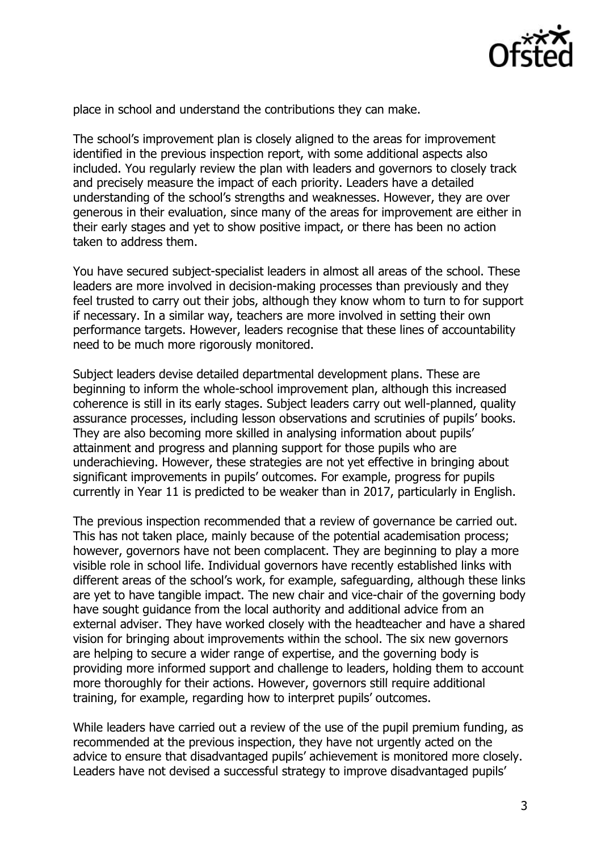

place in school and understand the contributions they can make.

The school's improvement plan is closely aligned to the areas for improvement identified in the previous inspection report, with some additional aspects also included. You regularly review the plan with leaders and governors to closely track and precisely measure the impact of each priority. Leaders have a detailed understanding of the school's strengths and weaknesses. However, they are over generous in their evaluation, since many of the areas for improvement are either in their early stages and yet to show positive impact, or there has been no action taken to address them.

You have secured subject-specialist leaders in almost all areas of the school. These leaders are more involved in decision-making processes than previously and they feel trusted to carry out their jobs, although they know whom to turn to for support if necessary. In a similar way, teachers are more involved in setting their own performance targets. However, leaders recognise that these lines of accountability need to be much more rigorously monitored.

Subject leaders devise detailed departmental development plans. These are beginning to inform the whole-school improvement plan, although this increased coherence is still in its early stages. Subject leaders carry out well-planned, quality assurance processes, including lesson observations and scrutinies of pupils' books. They are also becoming more skilled in analysing information about pupils' attainment and progress and planning support for those pupils who are underachieving. However, these strategies are not yet effective in bringing about significant improvements in pupils' outcomes. For example, progress for pupils currently in Year 11 is predicted to be weaker than in 2017, particularly in English.

The previous inspection recommended that a review of governance be carried out. This has not taken place, mainly because of the potential academisation process; however, governors have not been complacent. They are beginning to play a more visible role in school life. Individual governors have recently established links with different areas of the school's work, for example, safeguarding, although these links are yet to have tangible impact. The new chair and vice-chair of the governing body have sought guidance from the local authority and additional advice from an external adviser. They have worked closely with the headteacher and have a shared vision for bringing about improvements within the school. The six new governors are helping to secure a wider range of expertise, and the governing body is providing more informed support and challenge to leaders, holding them to account more thoroughly for their actions. However, governors still require additional training, for example, regarding how to interpret pupils' outcomes.

While leaders have carried out a review of the use of the pupil premium funding, as recommended at the previous inspection, they have not urgently acted on the advice to ensure that disadvantaged pupils' achievement is monitored more closely. Leaders have not devised a successful strategy to improve disadvantaged pupils'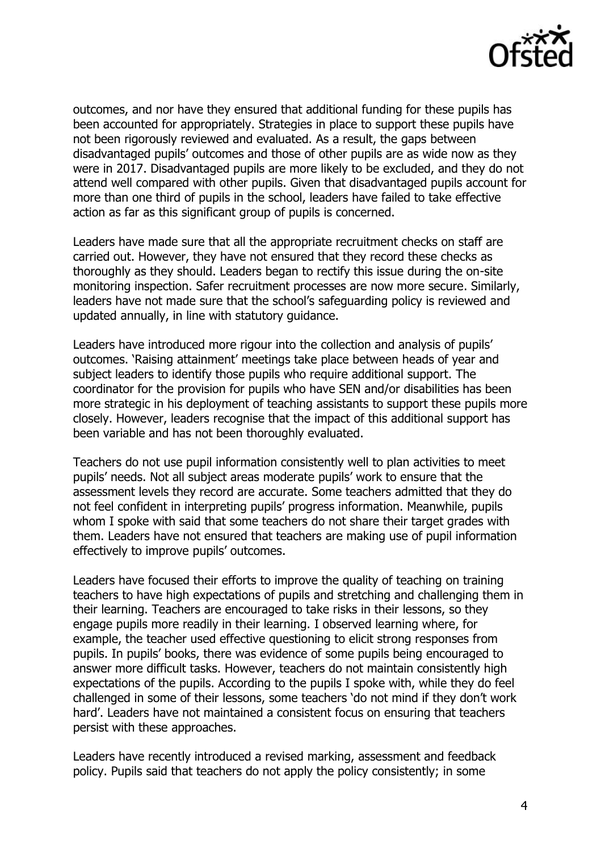

outcomes, and nor have they ensured that additional funding for these pupils has been accounted for appropriately. Strategies in place to support these pupils have not been rigorously reviewed and evaluated. As a result, the gaps between disadvantaged pupils' outcomes and those of other pupils are as wide now as they were in 2017. Disadvantaged pupils are more likely to be excluded, and they do not attend well compared with other pupils. Given that disadvantaged pupils account for more than one third of pupils in the school, leaders have failed to take effective action as far as this significant group of pupils is concerned.

Leaders have made sure that all the appropriate recruitment checks on staff are carried out. However, they have not ensured that they record these checks as thoroughly as they should. Leaders began to rectify this issue during the on-site monitoring inspection. Safer recruitment processes are now more secure. Similarly, leaders have not made sure that the school's safeguarding policy is reviewed and updated annually, in line with statutory guidance.

Leaders have introduced more rigour into the collection and analysis of pupils' outcomes. 'Raising attainment' meetings take place between heads of year and subject leaders to identify those pupils who require additional support. The coordinator for the provision for pupils who have SEN and/or disabilities has been more strategic in his deployment of teaching assistants to support these pupils more closely. However, leaders recognise that the impact of this additional support has been variable and has not been thoroughly evaluated.

Teachers do not use pupil information consistently well to plan activities to meet pupils' needs. Not all subject areas moderate pupils' work to ensure that the assessment levels they record are accurate. Some teachers admitted that they do not feel confident in interpreting pupils' progress information. Meanwhile, pupils whom I spoke with said that some teachers do not share their target grades with them. Leaders have not ensured that teachers are making use of pupil information effectively to improve pupils' outcomes.

Leaders have focused their efforts to improve the quality of teaching on training teachers to have high expectations of pupils and stretching and challenging them in their learning. Teachers are encouraged to take risks in their lessons, so they engage pupils more readily in their learning. I observed learning where, for example, the teacher used effective questioning to elicit strong responses from pupils. In pupils' books, there was evidence of some pupils being encouraged to answer more difficult tasks. However, teachers do not maintain consistently high expectations of the pupils. According to the pupils I spoke with, while they do feel challenged in some of their lessons, some teachers 'do not mind if they don't work hard'. Leaders have not maintained a consistent focus on ensuring that teachers persist with these approaches.

Leaders have recently introduced a revised marking, assessment and feedback policy. Pupils said that teachers do not apply the policy consistently; in some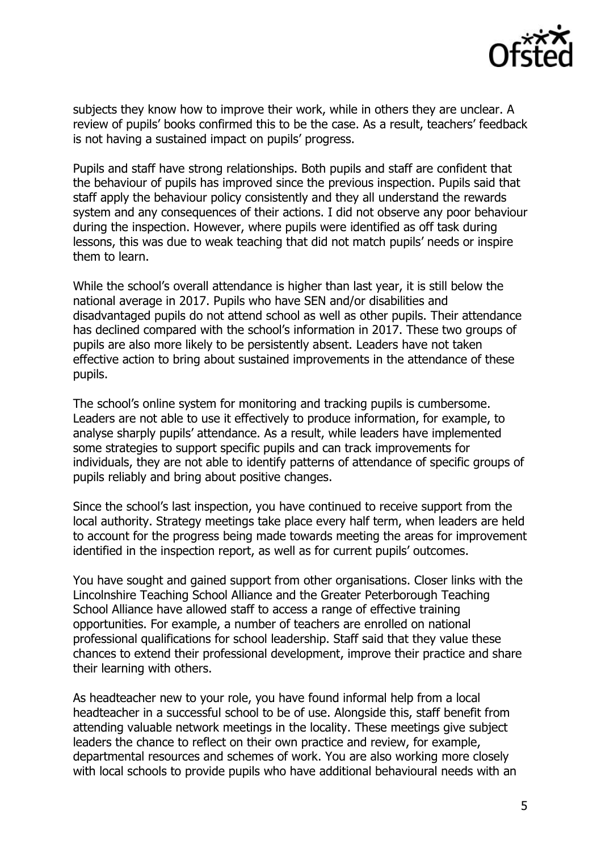

subjects they know how to improve their work, while in others they are unclear. A review of pupils' books confirmed this to be the case. As a result, teachers' feedback is not having a sustained impact on pupils' progress.

Pupils and staff have strong relationships. Both pupils and staff are confident that the behaviour of pupils has improved since the previous inspection. Pupils said that staff apply the behaviour policy consistently and they all understand the rewards system and any consequences of their actions. I did not observe any poor behaviour during the inspection. However, where pupils were identified as off task during lessons, this was due to weak teaching that did not match pupils' needs or inspire them to learn.

While the school's overall attendance is higher than last year, it is still below the national average in 2017. Pupils who have SEN and/or disabilities and disadvantaged pupils do not attend school as well as other pupils. Their attendance has declined compared with the school's information in 2017. These two groups of pupils are also more likely to be persistently absent. Leaders have not taken effective action to bring about sustained improvements in the attendance of these pupils.

The school's online system for monitoring and tracking pupils is cumbersome. Leaders are not able to use it effectively to produce information, for example, to analyse sharply pupils' attendance. As a result, while leaders have implemented some strategies to support specific pupils and can track improvements for individuals, they are not able to identify patterns of attendance of specific groups of pupils reliably and bring about positive changes.

Since the school's last inspection, you have continued to receive support from the local authority. Strategy meetings take place every half term, when leaders are held to account for the progress being made towards meeting the areas for improvement identified in the inspection report, as well as for current pupils' outcomes.

You have sought and gained support from other organisations. Closer links with the Lincolnshire Teaching School Alliance and the Greater Peterborough Teaching School Alliance have allowed staff to access a range of effective training opportunities. For example, a number of teachers are enrolled on national professional qualifications for school leadership. Staff said that they value these chances to extend their professional development, improve their practice and share their learning with others.

As headteacher new to your role, you have found informal help from a local headteacher in a successful school to be of use. Alongside this, staff benefit from attending valuable network meetings in the locality. These meetings give subject leaders the chance to reflect on their own practice and review, for example, departmental resources and schemes of work. You are also working more closely with local schools to provide pupils who have additional behavioural needs with an